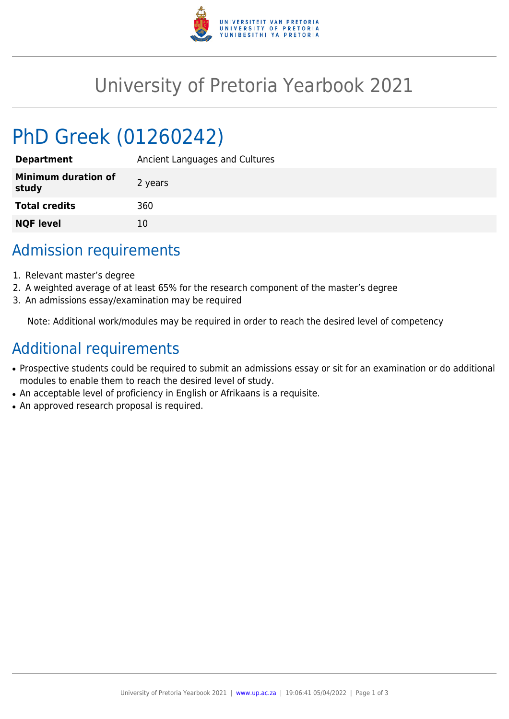

## University of Pretoria Yearbook 2021

# PhD Greek (01260242)

| <b>Department</b>                   | Ancient Languages and Cultures |
|-------------------------------------|--------------------------------|
| <b>Minimum duration of</b><br>study | 2 years                        |
| <b>Total credits</b>                | 360                            |
| <b>NQF level</b>                    | 10                             |

#### Admission requirements

- 1. Relevant master's degree
- 2. A weighted average of at least 65% for the research component of the master's degree
- 3. An admissions essay/examination may be required

Note: Additional work/modules may be required in order to reach the desired level of competency

## Additional requirements

- Prospective students could be required to submit an admissions essay or sit for an examination or do additional modules to enable them to reach the desired level of study.
- An acceptable level of proficiency in English or Afrikaans is a requisite.
- An approved research proposal is required.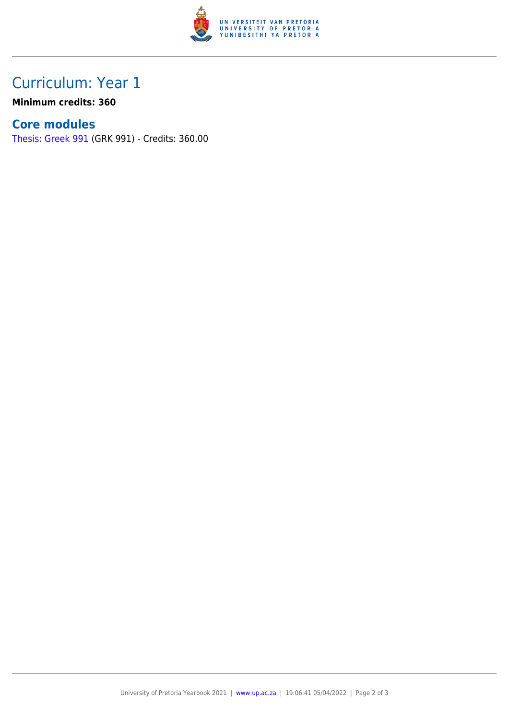

## Curriculum: Year 1

**Minimum credits: 360**

#### **Core modules**

[Thesis: Greek 991](https://www.up.ac.za/yearbooks/2021/modules/view/GRK 991) (GRK 991) - Credits: 360.00